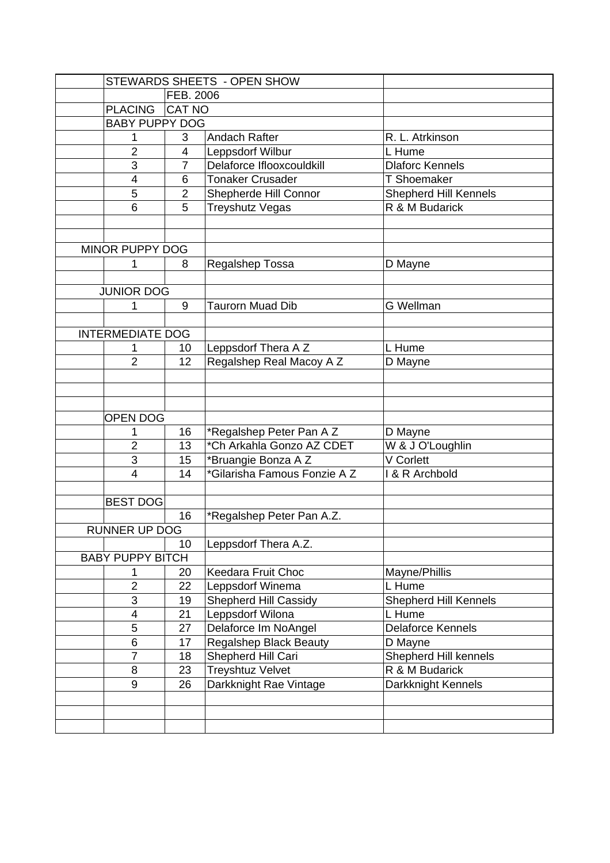|                         |                         |                | STEWARDS SHEETS - OPEN SHOW   |                           |  |  |
|-------------------------|-------------------------|----------------|-------------------------------|---------------------------|--|--|
|                         |                         | FEB. 2006      |                               |                           |  |  |
|                         | <b>PLACING</b>          | <b>CAT NO</b>  |                               |                           |  |  |
|                         | <b>BABY PUPPY DOG</b>   |                |                               |                           |  |  |
|                         | 1                       | 3              | <b>Andach Rafter</b>          | R. L. Atrkinson           |  |  |
|                         | $\overline{2}$          | 4              | Leppsdorf Wilbur              | L Hume                    |  |  |
|                         | 3                       | 7              | Delaforce Iflooxcouldkill     | <b>Dlaforc Kennels</b>    |  |  |
|                         | 4                       | 6              | <b>Tonaker Crusader</b>       | <b>T Shoemaker</b>        |  |  |
|                         | 5                       | $\overline{2}$ | Shepherde Hill Connor         | Shepherd Hill Kennels     |  |  |
|                         | 6                       | 5              | Treyshutz Vegas               | R & M Budarick            |  |  |
|                         |                         |                |                               |                           |  |  |
| MINOR PUPPY DOG         |                         |                |                               |                           |  |  |
|                         | 1                       | 8              | Regalshep Tossa               | D Mayne                   |  |  |
|                         |                         |                |                               |                           |  |  |
|                         | <b>JUNIOR DOG</b>       |                |                               |                           |  |  |
|                         | 1                       | 9              | <b>Taurorn Muad Dib</b>       | <b>G</b> Wellman          |  |  |
|                         |                         |                |                               |                           |  |  |
|                         | <b>INTERMEDIATE DOG</b> |                |                               |                           |  |  |
|                         |                         | 10             | Leppsdorf Thera A Z           | L Hume                    |  |  |
|                         | $\overline{2}$          | 12             | Regalshep Real Macoy A Z      | D Mayne                   |  |  |
|                         |                         |                |                               |                           |  |  |
|                         |                         |                |                               |                           |  |  |
|                         |                         |                |                               |                           |  |  |
| <b>OPEN DOG</b>         |                         |                |                               |                           |  |  |
|                         | 1                       | 16             | *Regalshep Peter Pan A Z      | D Mayne                   |  |  |
|                         | $\overline{2}$          | 13             | *Ch Arkahla Gonzo AZ CDET     | W & J O'Loughlin          |  |  |
|                         | 3                       | 15             | *Bruangie Bonza A Z           | V Corlett                 |  |  |
|                         | 4                       | 14             | *Gilarisha Famous Fonzie A Z  | <b>1 &amp; R Archbold</b> |  |  |
|                         | <b>BEST DOG</b>         |                |                               |                           |  |  |
|                         |                         | 16             | *Regalshep Peter Pan A.Z.     |                           |  |  |
|                         | RUNNER UP DOG           |                |                               |                           |  |  |
|                         |                         | 10             | Leppsdorf Thera A.Z.          |                           |  |  |
| <b>BABY PUPPY BITCH</b> |                         |                |                               |                           |  |  |
|                         | 1                       | 20             | Keedara Fruit Choc            | Mayne/Phillis             |  |  |
|                         | $\overline{2}$          | 22             | Leppsdorf Winema              | L Hume                    |  |  |
|                         | 3                       | 19             | <b>Shepherd Hill Cassidy</b>  | Shepherd Hill Kennels     |  |  |
|                         | $\overline{\mathbf{4}}$ | 21             | Leppsdorf Wilona              | L Hume                    |  |  |
|                         | 5                       | 27             | Delaforce Im NoAngel          | <b>Delaforce Kennels</b>  |  |  |
|                         | 6                       | 17             | <b>Regalshep Black Beauty</b> | D Mayne                   |  |  |
|                         | $\overline{7}$          | 18             | Shepherd Hill Cari            | Shepherd Hill kennels     |  |  |
|                         | 8                       | 23             | <b>Treyshtuz Velvet</b>       | R & M Budarick            |  |  |
|                         | 9                       | 26             | Darkknight Rae Vintage        | Darkknight Kennels        |  |  |
|                         |                         |                |                               |                           |  |  |
|                         |                         |                |                               |                           |  |  |
|                         |                         |                |                               |                           |  |  |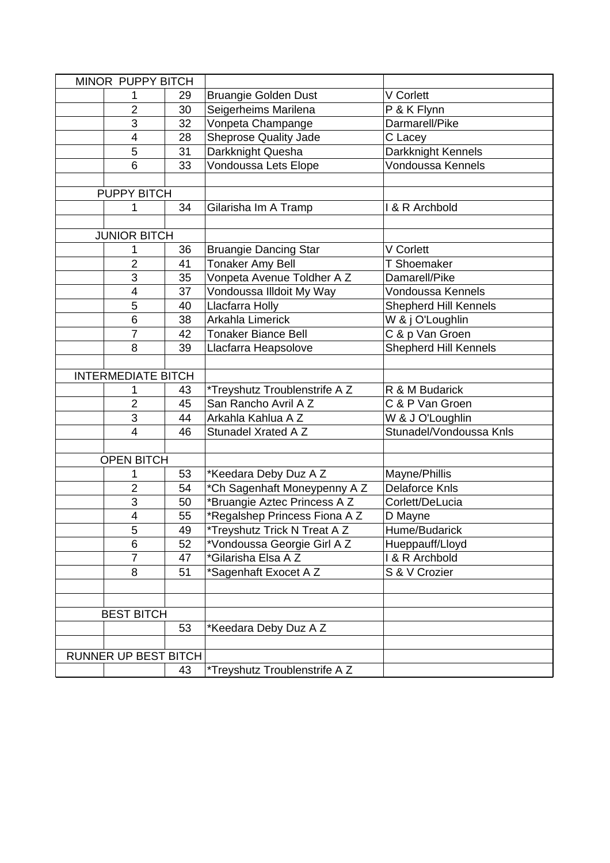| MINOR PUPPY BITCH         |                         |    |                               |                              |
|---------------------------|-------------------------|----|-------------------------------|------------------------------|
|                           |                         | 29 | <b>Bruangie Golden Dust</b>   | V Corlett                    |
|                           | $\overline{2}$          | 30 | Seigerheims Marilena          | P & K Flynn                  |
|                           | 3                       | 32 | Vonpeta Champange             | Darmarell/Pike               |
|                           | $\overline{\mathbf{4}}$ | 28 | <b>Sheprose Quality Jade</b>  | C Lacey                      |
|                           | 5                       | 31 | Darkknight Quesha             | Darkknight Kennels           |
|                           | 6                       | 33 | Vondoussa Lets Elope          | Vondoussa Kennels            |
|                           |                         |    |                               |                              |
| <b>PUPPY BITCH</b>        |                         |    |                               |                              |
|                           | 1                       | 34 | Gilarisha Im A Tramp          | I & R Archbold               |
|                           |                         |    |                               |                              |
|                           | <b>JUNIOR BITCH</b>     |    |                               |                              |
|                           |                         | 36 | <b>Bruangie Dancing Star</b>  | V Corlett                    |
|                           | $\overline{2}$          | 41 | Tonaker Amy Bell              | <b>T</b> Shoemaker           |
|                           | 3                       | 35 | Vonpeta Avenue Toldher A Z    | Damarell/Pike                |
|                           | 4                       | 37 | Vondoussa Illdoit My Way      | Vondoussa Kennels            |
|                           | 5                       | 40 | Llacfarra Holly               | <b>Shepherd Hill Kennels</b> |
|                           | 6                       | 38 | Arkahla Limerick              | W & j O'Loughlin             |
|                           | 7                       | 42 | <b>Tonaker Biance Bell</b>    | C & p Van Groen              |
|                           | 8                       | 39 | Llacfarra Heapsolove          | Shepherd Hill Kennels        |
|                           |                         |    |                               |                              |
| <b>INTERMEDIATE BITCH</b> |                         |    |                               |                              |
|                           | 1                       | 43 | *Treyshutz Troublenstrife A Z | R & M Budarick               |
|                           | $\overline{2}$          | 45 | San Rancho Avril A Z          | C & P Van Groen              |
|                           | 3                       | 44 | Arkahla Kahlua A Z            | W & J O'Loughlin             |
|                           | $\overline{4}$          | 46 | Stunadel Xrated A Z           | Stunadel/Vondoussa Knls      |
|                           |                         |    |                               |                              |
| <b>OPEN BITCH</b>         |                         |    |                               |                              |
|                           | 1                       | 53 | *Keedara Deby Duz A Z         | Mayne/Phillis                |
|                           | $\overline{2}$          | 54 | *Ch Sagenhaft Moneypenny A Z  | <b>Delaforce Knls</b>        |
|                           | 3                       | 50 | *Bruangie Aztec Princess A Z  | Corlett/DeLucia              |
|                           | $\overline{\mathbf{4}}$ | 55 | *Regalshep Princess Fiona A Z | D Mayne                      |
|                           | 5                       | 49 | *Treyshutz Trick N Treat A Z  | Hume/Budarick                |
|                           | 6                       | 52 | *Vondoussa Georgie Girl A Z   | Hueppauff/Lloyd              |
|                           | $\overline{7}$          | 47 | *Gilarisha Elsa A Z           | I & R Archbold               |
|                           | 8                       | 51 | *Sagenhaft Exocet A Z         | S & V Crozier                |
|                           |                         |    |                               |                              |
|                           |                         |    |                               |                              |
| <b>BEST BITCH</b>         |                         |    |                               |                              |
|                           |                         | 53 | *Keedara Deby Duz A Z         |                              |
|                           |                         |    |                               |                              |
|                           | RUNNER UP BEST BITCH    |    |                               |                              |
|                           |                         | 43 | *Treyshutz Troublenstrife A Z |                              |